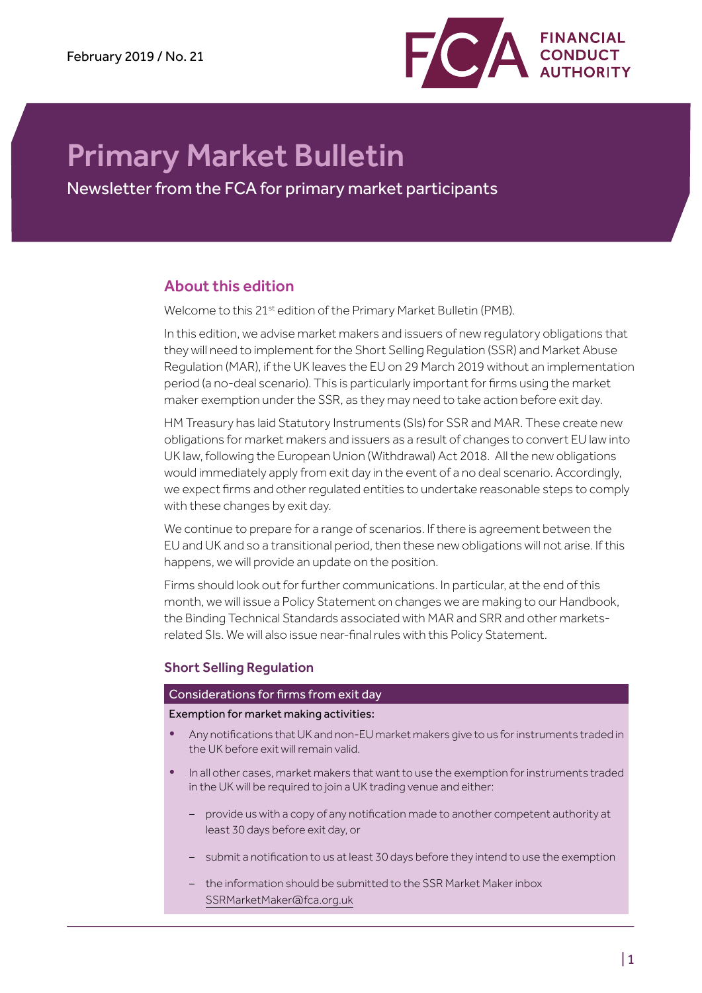

# Primary Market Bulletin

Newsletter from the FCA for primary market participants

# About this edition

Welcome to this 21<sup>st</sup> edition of the Primary Market Bulletin (PMB).

In this edition, we advise market makers and issuers of new regulatory obligations that they will need to implement for the Short Selling Regulation (SSR) and Market Abuse Regulation (MAR), if the UK leaves the EU on 29 March 2019 without an implementation period (a no-deal scenario). This is particularly important for firms using the market maker exemption under the SSR, as they may need to take action before exit day.

HM Treasury has laid Statutory Instruments (SIs) for SSR and MAR. These create new obligations for market makers and issuers as a result of changes to convert EU law into UK law, following the European Union (Withdrawal) Act 2018. All the new obligations would immediately apply from exit day in the event of a no deal scenario. Accordingly, we expect firms and other regulated entities to undertake reasonable steps to comply with these changes by exit day.

We continue to prepare for a range of scenarios. If there is agreement between the EU and UK and so a transitional period, then these new obligations will not arise. If this happens, we will provide an update on the position.

Firms should look out for further communications. In particular, at the end of this month, we will issue a Policy Statement on changes we are making to our Handbook, the Binding Technical Standards associated with MAR and SRR and other marketsrelated SIs. We will also issue near-final rules with this Policy Statement.

# Short Selling Regulation

# Considerations for firms from exit day

Exemption for market making activities:

- Any notifications that UK and non-EU market makers give to us for instruments traded in the UK before exit will remain valid.
- In all other cases, market makers that want to use the exemption for instruments traded in the UK will be required to join a UK trading venue and either:
	- provide us with a copy of any notification made to another competent authority at least 30 days before exit day, or
	- submit a notification to us at least 30 days before they intend to use the exemption
	- the information should be submitted to the SSR Market Maker inbox [SSRMarketMaker@fca.org.uk](mailto:SSRMarketMaker%40fca.org.uk?subject=)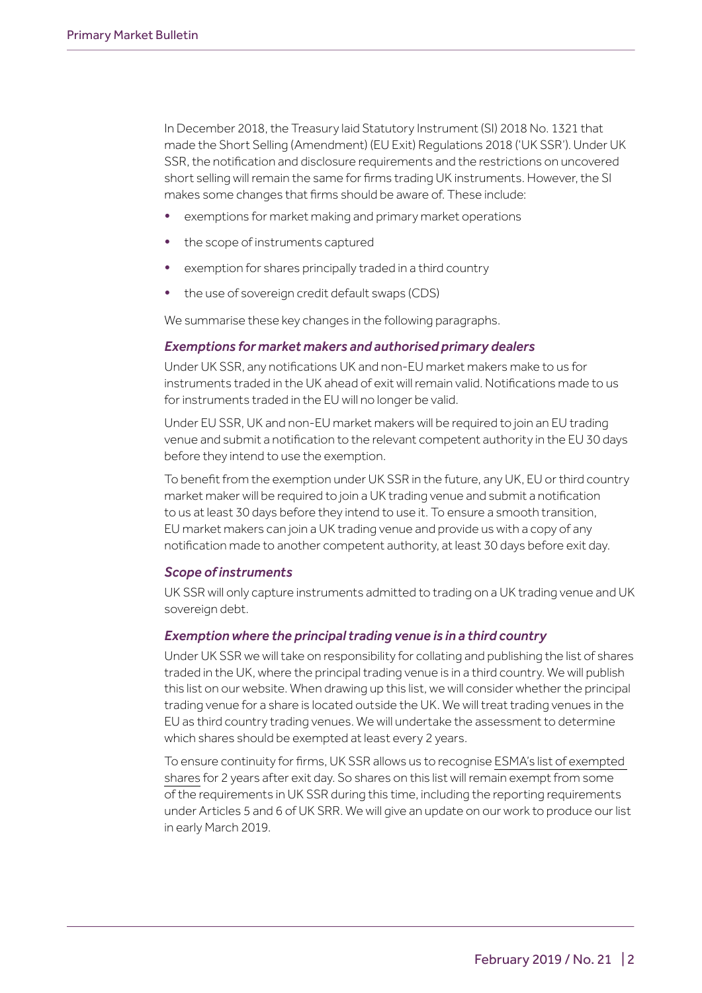In December 2018, the Treasury laid Statutory Instrument (SI) 2018 No. 1321 that made the Short Selling (Amendment) (EU Exit) Regulations 2018 ('UK SSR'). Under UK SSR, the notification and disclosure requirements and the restrictions on uncovered short selling will remain the same for firms trading UK instruments. However, the SI makes some changes that firms should be aware of. These include:

- exemptions for market making and primary market operations
- the scope of instruments captured
- exemption for shares principally traded in a third country
- the use of sovereign credit default swaps (CDS)

We summarise these key changes in the following paragraphs.

# *Exemptions for market makers and authorised primary dealers*

Under UK SSR, any notifications UK and non-EU market makers make to us for instruments traded in the UK ahead of exit will remain valid. Notifications made to us for instruments traded in the EU will no longer be valid.

Under EU SSR, UK and non-EU market makers will be required to join an EU trading venue and submit a notification to the relevant competent authority in the EU 30 days before they intend to use the exemption.

To benefit from the exemption under UK SSR in the future, any UK, EU or third country market maker will be required to join a UK trading venue and submit a notification to us at least 30 days before they intend to use it. To ensure a smooth transition, EU market makers can join a UK trading venue and provide us with a copy of any notification made to another competent authority, at least 30 days before exit day.

# *Scope of instruments*

UK SSR will only capture instruments admitted to trading on a UK trading venue and UK sovereign debt.

# *Exemption where the principal trading venue is in a third country*

Under UK SSR we will take on responsibility for collating and publishing the list of shares traded in the UK, where the principal trading venue is in a third country. We will publish this list on our website. When drawing up this list, we will consider whether the principal trading venue for a share is located outside the UK. We will treat trading venues in the EU as third country trading venues. We will undertake the assessment to determine which shares should be exempted at least every 2 years.

To ensure continuity for firms, UK SSR allows us to recognise [ESMA's list of exempted](https://registers.esma.europa.eu/publication/searchRegister?core=esma_registers_mifid_shsexs)  [shares](https://registers.esma.europa.eu/publication/searchRegister?core=esma_registers_mifid_shsexs) for 2 years after exit day. So shares on this list will remain exempt from some of the requirements in UK SSR during this time, including the reporting requirements under Articles 5 and 6 of UK SRR. We will give an update on our work to produce our list in early March 2019.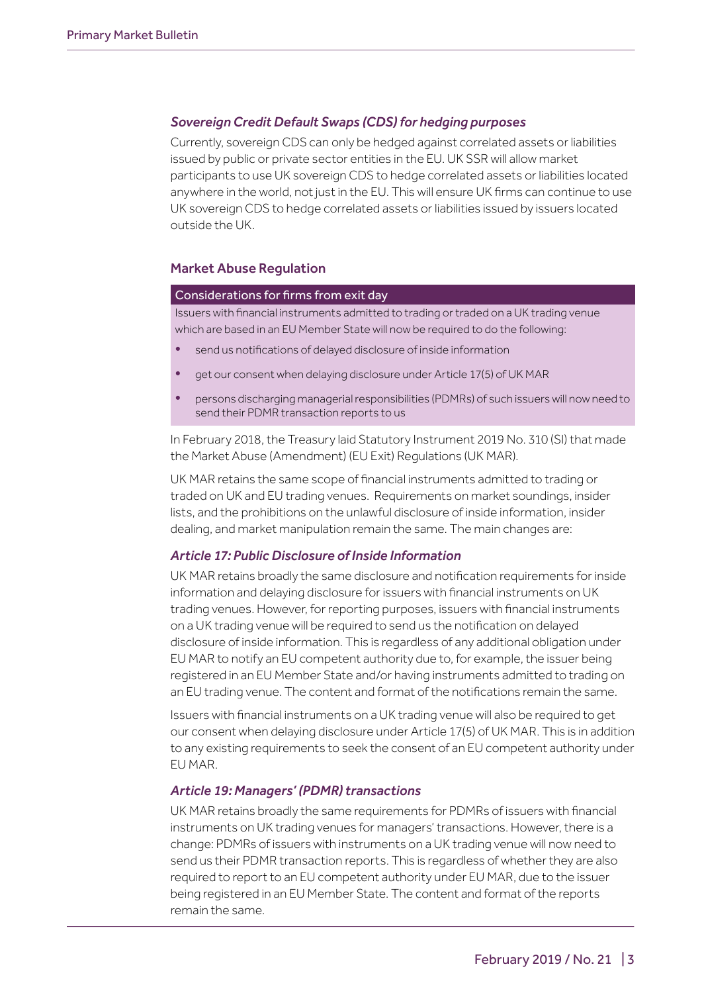# *Sovereign Credit Default Swaps (CDS) for hedging purposes*

Currently, sovereign CDS can only be hedged against correlated assets or liabilities issued by public or private sector entities in the EU. UK SSR will allow market participants to use UK sovereign CDS to hedge correlated assets or liabilities located anywhere in the world, not just in the EU. This will ensure UK firms can continue to use UK sovereign CDS to hedge correlated assets or liabilities issued by issuers located outside the UK.

# Market Abuse Regulation

#### Considerations for firms from exit day

Issuers with financial instruments admitted to trading or traded on a UK trading venue which are based in an EU Member State will now be required to do the following:

- send us notifications of delayed disclosure of inside information
- get our consent when delaying disclosure under Article 17(5) of UK MAR
- persons discharging managerial responsibilities (PDMRs) of such issuers will now need to send their PDMR transaction reports to us

In February 2018, the Treasury laid Statutory Instrument 2019 No. 310 (SI) that made the Market Abuse (Amendment) (EU Exit) Regulations (UK MAR).

UK MAR retains the same scope of financial instruments admitted to trading or traded on UK and EU trading venues. Requirements on market soundings, insider lists, and the prohibitions on the unlawful disclosure of inside information, insider dealing, and market manipulation remain the same. The main changes are:

# *Article 17: Public Disclosure of Inside Information*

UK MAR retains broadly the same disclosure and notification requirements for inside information and delaying disclosure for issuers with financial instruments on UK trading venues. However, for reporting purposes, issuers with financial instruments on a UK trading venue will be required to send us the notification on delayed disclosure of inside information. This is regardless of any additional obligation under EU MAR to notify an EU competent authority due to, for example, the issuer being registered in an EU Member State and/or having instruments admitted to trading on an EU trading venue. The content and format of the notifications remain the same.

Issuers with financial instruments on a UK trading venue will also be required to get our consent when delaying disclosure under Article 17(5) of UK MAR. This is in addition to any existing requirements to seek the consent of an EU competent authority under EU MAR.

#### *Article 19: Managers' (PDMR) transactions*

UK MAR retains broadly the same requirements for PDMRs of issuers with financial instruments on UK trading venues for managers' transactions. However, there is a change: PDMRs of issuers with instruments on a UK trading venue will now need to send us their PDMR transaction reports. This is regardless of whether they are also required to report to an EU competent authority under EU MAR, due to the issuer being registered in an EU Member State. The content and format of the reports remain the same.